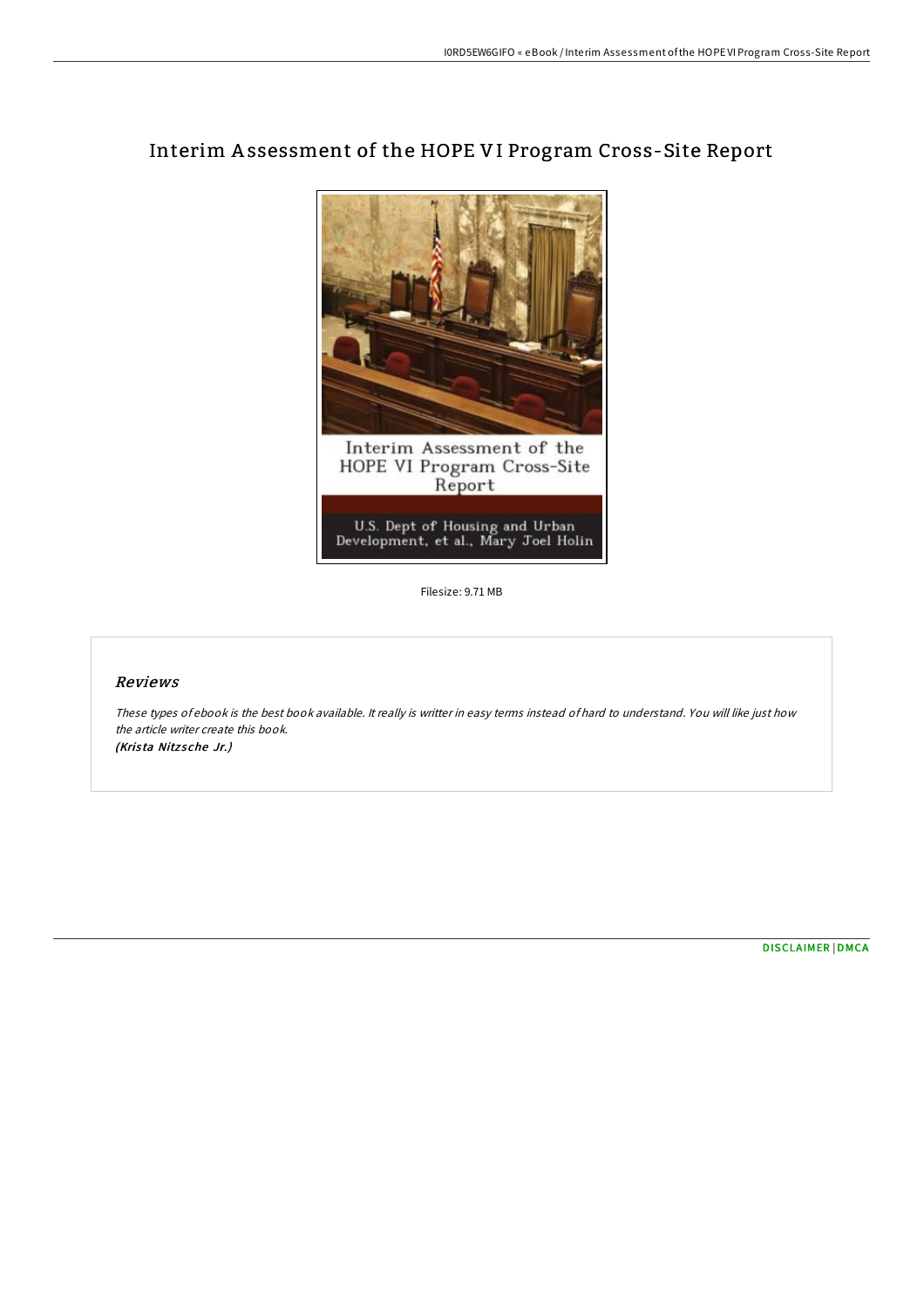

## Interim Assessment of the HOPE VI Program Cross-Site Report

Filesize: 9.71 MB

## Reviews

These types of ebook is the best book available. It really is writter in easy terms instead of hard to understand. You will like just how the article writer create this book. (Krista Nitzsche Jr.)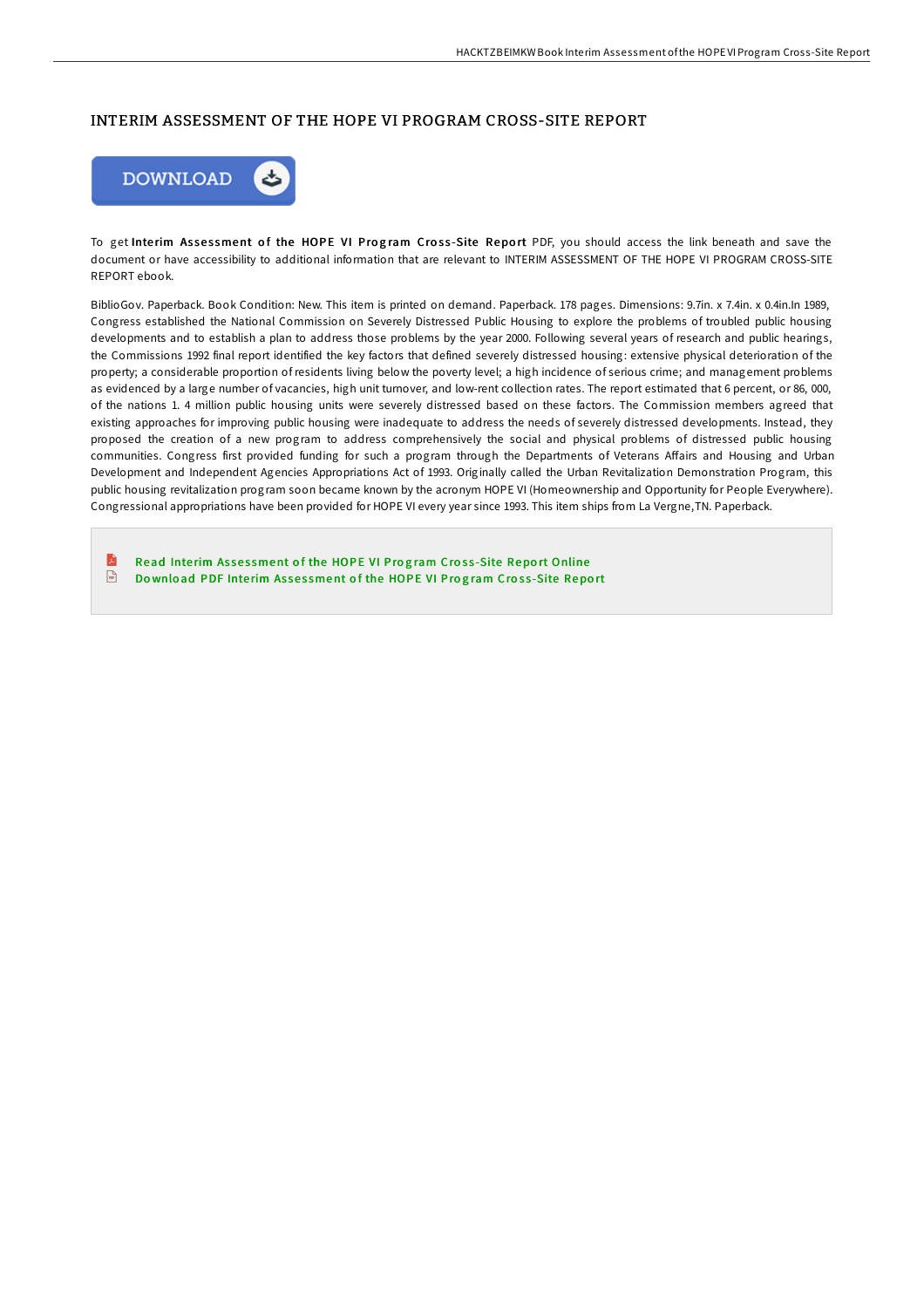## INTERIM ASSESSMENT OF THE HOPE VI PROGRAM CROSS-SITE REPORT



To get Interim Assessment of the HOPE VI Program Cross-Site Report PDF, you should access the link beneath and save the document or have accessibility to additional information that are relevant to INTERIM ASSESSMENT OF THE HOPE VI PROGRAM CROSS-SITE REPORT ebook.

BiblioGov. Paperback. Book Condition: New. This item is printed on demand. Paperback. 178 pages. Dimensions: 9.7in. x 7.4in. x 0.4in.In 1989, Congress established the National Commission on Severely Distressed Public Housing to explore the problems of troubled public housing developments and to establish a plan to address those problems by the year 2000. Following several years of research and public hearings, the Commissions 1992 final report identified the key factors that defined severely distressed housing: extensive physical deterioration of the property; a considerable proportion of residents living below the poverty level; a high incidence of serious crime; and management problems as evidenced by a large number of vacancies, high unit turnover, and low-rent collection rates. The report estimated that 6 percent, or 86, 000, of the nations 1. 4 million public housing units were severely distressed based on these factors. The Commission members agreed that existing approaches for improving public housing were inadequate to address the needs of severely distressed developments. Instead, they proposed the creation of a new program to address comprehensively the social and physical problems of distressed public housing communities. Congress first provided funding for such a program through the Departments of Veterans AFairs and Housing and Urban Development and Independent Agencies Appropriations Act of 1993. Originally called the Urban Revitalization Demonstration Program, this public housing revitalization program soon became known by the acronym HOPE VI (Homeownership and Opportunity for People Everywhere). Congressional appropriations have been provided for HOPE VI every year since 1993. This item ships from La Vergne,TN. Paperback.

E Read Interim Assessment of the HOPE VI Program Cross-Site Report [Online](http://almighty24.tech/interim-assessment-of-the-hope-vi-program-cross-.html)  $\sqrt{m}$ Download PDF Interim Asses[sment](http://almighty24.tech/interim-assessment-of-the-hope-vi-program-cross-.html) of the HOPE VI Program Cross-Site Report